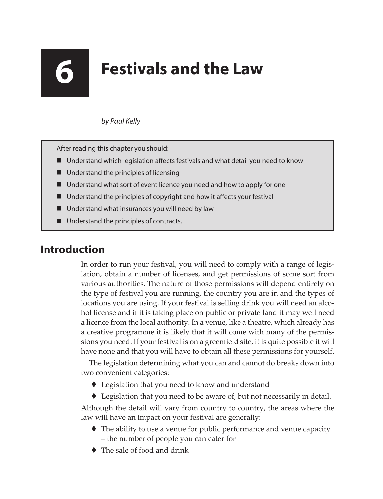# **6 Festivals and the Law**

# *by Paul Kelly*

After reading this chapter you should:

- Understand which legislation affects festivals and what detail you need to know
- Understand the principles of licensing
- Understand what sort of event licence you need and how to apply for one
- Understand the principles of copyright and how it affects your festival
- Understand what insurances you will need by law
- Understand the principles of contracts.

# **Introduction**

In order to run your festival, you will need to comply with a range of legislation, obtain a number of licenses, and get permissions of some sort from various authorities. The nature of those permissions will depend entirely on the type of festival you are running, the country you are in and the types of locations you are using. If your festival is selling drink you will need an alcohol license and if it is taking place on public or private land it may well need a licence from the local authority. In a venue, like a theatre, which already has a creative programme it is likely that it will come with many of the permissions you need. If your festival is on a greenfield site, it is quite possible it will have none and that you will have to obtain all these permissions for yourself.

The legislation determining what you can and cannot do breaks down into two convenient categories:

- ◆ Legislation that you need to know and understand
- ◆ Legislation that you need to be aware of, but not necessarily in detail.

Although the detail will vary from country to country, the areas where the law will have an impact on your festival are generally:

- $\blacklozenge$  The ability to use a venue for public performance and venue capacity – the number of people you can cater for
- The sale of food and drink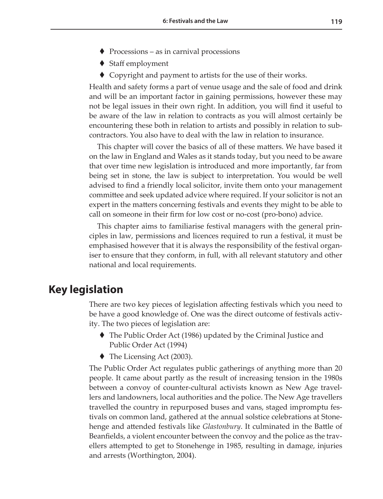- $\blacklozenge$  Processions as in carnival processions
- ◆ Staff employment
- ◆ Copyright and payment to artists for the use of their works.

Health and safety forms a part of venue usage and the sale of food and drink and will be an important factor in gaining permissions, however these may not be legal issues in their own right. In addition, you will find it useful to be aware of the law in relation to contracts as you will almost certainly be encountering these both in relation to artists and possibly in relation to subcontractors. You also have to deal with the law in relation to insurance.

This chapter will cover the basics of all of these matters. We have based it on the law in England and Wales as it stands today, but you need to be aware that over time new legislation is introduced and more importantly, far from being set in stone, the law is subject to interpretation. You would be well advised to find a friendly local solicitor, invite them onto your management committee and seek updated advice where required. If your solicitor is not an expert in the matters concerning festivals and events they might to be able to call on someone in their firm for low cost or no-cost (pro-bono) advice.

This chapter aims to familiarise festival managers with the general principles in law, permissions and licences required to run a festival, it must be emphasised however that it is always the responsibility of the festival organiser to ensure that they conform, in full, with all relevant statutory and other national and local requirements.

# **Key legislation**

There are two key pieces of legislation affecting festivals which you need to be have a good knowledge of. One was the direct outcome of festivals activity. The two pieces of legislation are:

- The Public Order Act (1986) updated by the Criminal Justice and Public Order Act (1994)
- ◆ The Licensing Act (2003).

The Public Order Act regulates public gatherings of anything more than 20 people. It came about partly as the result of increasing tension in the 1980s between a convoy of counter-cultural activists known as New Age travellers and landowners, local authorities and the police. The New Age travellers travelled the country in repurposed buses and vans, staged impromptu festivals on common land, gathered at the annual solstice celebrations at Stonehenge and attended festivals like *Glastonbury*. It culminated in the Battle of Beanfields, a violent encounter between the convoy and the police as the travellers attempted to get to Stonehenge in 1985, resulting in damage, injuries and arrests (Worthington, 2004).